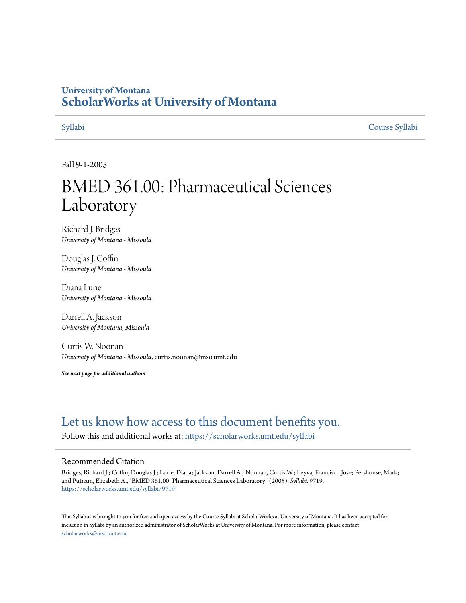# **University of Montana [ScholarWorks at University of Montana](https://scholarworks.umt.edu?utm_source=scholarworks.umt.edu%2Fsyllabi%2F9719&utm_medium=PDF&utm_campaign=PDFCoverPages)**

[Syllabi](https://scholarworks.umt.edu/syllabi?utm_source=scholarworks.umt.edu%2Fsyllabi%2F9719&utm_medium=PDF&utm_campaign=PDFCoverPages) [Course Syllabi](https://scholarworks.umt.edu/course_syllabi?utm_source=scholarworks.umt.edu%2Fsyllabi%2F9719&utm_medium=PDF&utm_campaign=PDFCoverPages)

Fall 9-1-2005

# BMED 361.00: Pharmaceutical Sciences Laboratory

Richard J. Bridges *University of Montana - Missoula*

Douglas J. Coffin *University of Montana - Missoula*

Diana Lurie *University of Montana - Missoula*

Darrell A. Jackson *University of Montana, Missoula*

Curtis W. Noonan *University of Montana - Missoula*, curtis.noonan@mso.umt.edu

*See next page for additional authors*

# [Let us know how access to this document benefits you.](https://goo.gl/forms/s2rGfXOLzz71qgsB2)

Follow this and additional works at: [https://scholarworks.umt.edu/syllabi](https://scholarworks.umt.edu/syllabi?utm_source=scholarworks.umt.edu%2Fsyllabi%2F9719&utm_medium=PDF&utm_campaign=PDFCoverPages)

#### Recommended Citation

Bridges, Richard J.; Coffin, Douglas J.; Lurie, Diana; Jackson, Darrell A.; Noonan, Curtis W.; Leyva, Francisco Jose; Pershouse, Mark; and Putnam, Elizabeth A., "BMED 361.00: Pharmaceutical Sciences Laboratory" (2005). *Syllabi*. 9719. [https://scholarworks.umt.edu/syllabi/9719](https://scholarworks.umt.edu/syllabi/9719?utm_source=scholarworks.umt.edu%2Fsyllabi%2F9719&utm_medium=PDF&utm_campaign=PDFCoverPages)

This Syllabus is brought to you for free and open access by the Course Syllabi at ScholarWorks at University of Montana. It has been accepted for inclusion in Syllabi by an authorized administrator of ScholarWorks at University of Montana. For more information, please contact [scholarworks@mso.umt.edu](mailto:scholarworks@mso.umt.edu).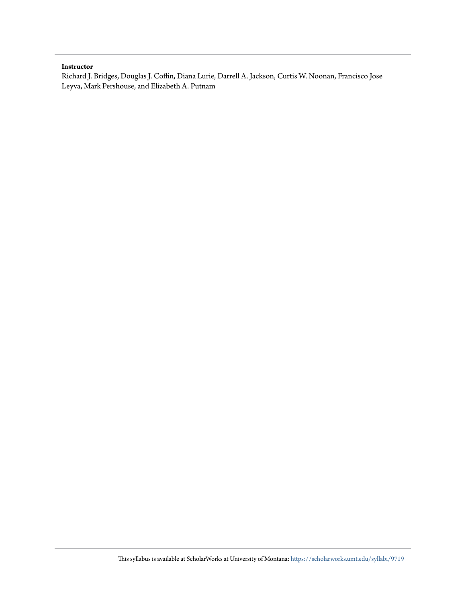#### **Instructor**

Richard J. Bridges, Douglas J. Coffin, Diana Lurie, Darrell A. Jackson, Curtis W. Noonan, Francisco Jose Leyva, Mark Pershouse, and Elizabeth A. Putnam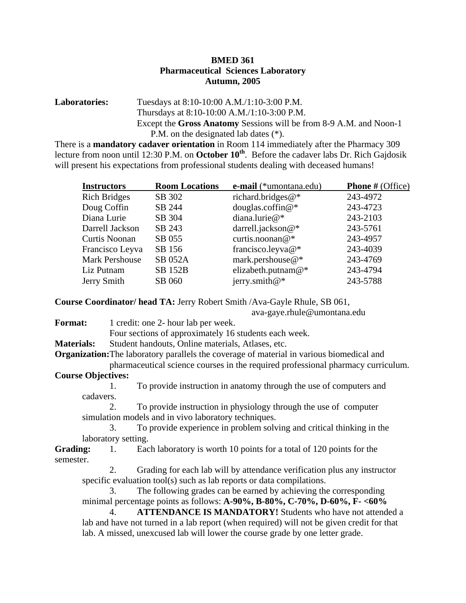### **BMED 361 Pharmaceutical Sciences Laboratory Autumn, 2005**

#### **Laboratories:** Tuesdays at 8:10-10:00 A.M./1:10-3:00 P.M. Thursdays at 8:10-10:00 A.M./1:10-3:00 P.M. Except the **Gross Anatomy** Sessions will be from 8-9 A.M. and Noon-1 P.M. on the designated lab dates (\*).

There is a **mandatory cadaver orientation** in Room 114 immediately after the Pharmacy 309 lecture from noon until 12:30 P.M. on **October 10<sup>th</sup>**. Before the cadaver labs Dr. Rich Gajdosik will present his expectations from professional students dealing with deceased humans!

| <b>Instructors</b>    | <b>Room Locations</b> | e-mail (*umontana.edu) | <b>Phone</b> # (Office) |
|-----------------------|-----------------------|------------------------|-------------------------|
| <b>Rich Bridges</b>   | SB 302                | richard.bridges@*      | 243-4972                |
| Doug Coffin           | SB 244                | douglas.coffin@*       | 243-4723                |
| Diana Lurie           | SB 304                | diana.lurie@*          | 243-2103                |
| Darrell Jackson       | SB 243                | darrell.jackson@*      | 243-5761                |
| <b>Curtis Noonan</b>  | SB 055                | curtis.noonan@*        | 243-4957                |
| Francisco Leyva       | SB 156                | francisco.leyva@*      | 243-4039                |
| <b>Mark Pershouse</b> | <b>SB 052A</b>        | mark.pershouse@*       | 243-4769                |
| Liz Putnam            | <b>SB 152B</b>        | elizabeth.putnam@*     | 243-4794                |
| Jerry Smith           | SB 060                | jerry.smith@*          | 243-5788                |

**Course Coordinator/ head TA:** Jerry Robert Smith /Ava-Gayle Rhule, SB 061,

ava-gaye.rhule@umontana.edu

- **Format:** 1 credit: one 2- hour lab per week. Four sections of approximately 16 students each week.
- **Materials:** Student handouts, Online materials, Atlases, etc.
- **Organization:**The laboratory parallels the coverage of material in various biomedical and pharmaceutical science courses in the required professional pharmacy curriculum.

## **Course Objectives:**

1. To provide instruction in anatomy through the use of computers and cadavers.

2. To provide instruction in physiology through the use of computer simulation models and in vivo laboratory techniques.

3. To provide experience in problem solving and critical thinking in the laboratory setting.

**Grading:** 1. Each laboratory is worth 10 points for a total of 120 points for the semester.

2. Grading for each lab will by attendance verification plus any instructor specific evaluation tool(s) such as lab reports or data compilations.

3. The following grades can be earned by achieving the corresponding minimal percentage points as follows: **A-90%, B-80%, C-70%, D-60%, F- <60%**

4. **ATTENDANCE IS MANDATORY!** Students who have not attended a lab and have not turned in a lab report (when required) will not be given credit for that lab. A missed, unexcused lab will lower the course grade by one letter grade.